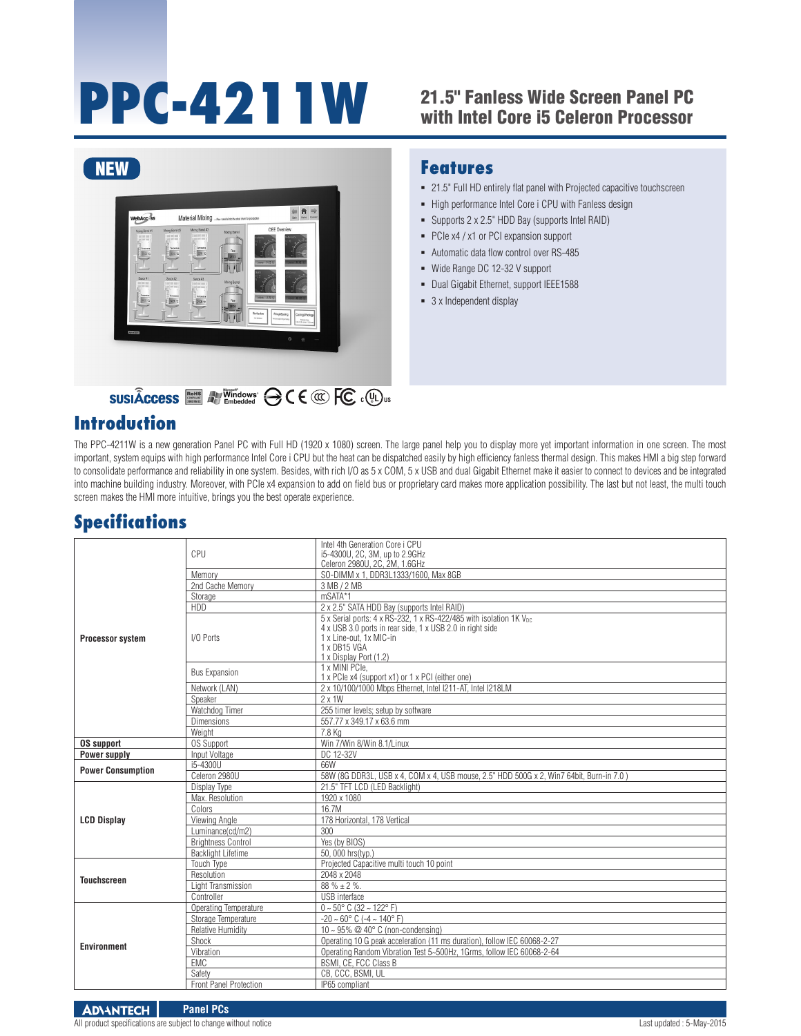# **PPC-4211W**

### 21.5" Fanless Wide Screen Panel PC with Intel Core i5 Celeron Processor



## **C ® UL US**

#### **Introduction**

#### The PPC-4211W is a new generation Panel PC with Full HD (1920 x 1080) screen. The large panel help you to display more yet important information in one screen. The most important, system equips with high performance Intel Core i CPU but the heat can be dispatched easily by high efficiency fanless thermal design. This makes HMI a big step forward to consolidate performance and reliability in one system. Besides, with rich I/O as 5 x COM, 5 x USB and dual Gigabit Ethernet make it easier to connect to devices and be integrated into machine building industry. Moreover, with PCIe x4 expansion to add on field bus or proprietary card makes more application possibility. The last but not least, the multi touch screen makes the HMI more intuitive, brings you the best operate experience.

# **Specifications**

| Processor system         | CPU                       | Intel 4th Generation Core i CPU                                                                                                                                                                                  |
|--------------------------|---------------------------|------------------------------------------------------------------------------------------------------------------------------------------------------------------------------------------------------------------|
|                          |                           | i5-4300U, 2C, 3M, up to 2.9GHz<br>Celeron 2980U, 2C, 2M, 1.6GHz                                                                                                                                                  |
|                          | Memory                    | SO-DIMM x 1. DDR3L1333/1600. Max 8GB                                                                                                                                                                             |
|                          | 2nd Cache Memory          | 3 MB / 2 MB                                                                                                                                                                                                      |
|                          | Storage                   | mSATA*1                                                                                                                                                                                                          |
|                          | HDD                       | 2 x 2.5" SATA HDD Bay (supports Intel RAID)                                                                                                                                                                      |
|                          | I/O Ports                 | 5 x Serial ports: 4 x RS-232, 1 x RS-422/485 with isolation 1K V <sub>pc</sub><br>4 x USB 3.0 ports in rear side, 1 x USB 2.0 in right side<br>1 x Line-out. 1x MIC-in<br>1 x DB15 VGA<br>1 x Display Port (1.2) |
|                          | <b>Bus Expansion</b>      | 1 x MINI PCIe.<br>1 x PCle x4 (support x1) or 1 x PCI (either one)                                                                                                                                               |
|                          | Network (LAN)             | 2 x 10/100/1000 Mbps Ethernet, Intel I211-AT, Intel I218LM                                                                                                                                                       |
|                          | Speaker                   | $2 \times 1W$                                                                                                                                                                                                    |
|                          | Watchdog Timer            | 255 timer levels; setup by software                                                                                                                                                                              |
|                          | <b>Dimensions</b>         | 557.77 x 349.17 x 63.6 mm                                                                                                                                                                                        |
|                          | Weight                    | 7.8 Ka                                                                                                                                                                                                           |
| <b>OS support</b>        | <b>OS Support</b>         | Win 7/Win 8/Win 8.1/Linux                                                                                                                                                                                        |
| Power supply             | Input Voltage             | DC 12-32V                                                                                                                                                                                                        |
| <b>Power Consumption</b> | i5-4300U                  | 66W                                                                                                                                                                                                              |
|                          | Celeron 2980U             | 58W (8G DDR3L, USB x 4, COM x 4, USB mouse, 2.5" HDD 500G x 2, Win7 64bit, Burn-in 7.0)                                                                                                                          |
|                          | Display Type              | 21.5" TFT LCD (LED Backlight)                                                                                                                                                                                    |
|                          | Max. Resolution           | 1920 x 1080                                                                                                                                                                                                      |
|                          | Colors                    | 16.7M                                                                                                                                                                                                            |
| <b>LCD Display</b>       | Viewing Angle             | 178 Horizontal, 178 Vertical                                                                                                                                                                                     |
|                          | Luminance(cd/m2)          | 300                                                                                                                                                                                                              |
|                          | <b>Brightness Control</b> | Yes (by BIOS)                                                                                                                                                                                                    |
|                          | <b>Backlight Lifetime</b> | 50, 000 hrs(typ.)                                                                                                                                                                                                |
| <b>Touchscreen</b>       | Touch Type                | Projected Capacitive multi touch 10 point                                                                                                                                                                        |
|                          | Resolution                | 2048 x 2048                                                                                                                                                                                                      |
|                          | Light Transmission        | $88\% \pm 2\%$ .                                                                                                                                                                                                 |
|                          | Controller                | USB interface                                                                                                                                                                                                    |
| <b>Environment</b>       | Operating Temperature     | $0 - 50^{\circ}$ C (32 ~ 122°F)                                                                                                                                                                                  |
|                          | Storage Temperature       | $-20 - 60^{\circ}$ C ( $-4 - 140^{\circ}$ F)                                                                                                                                                                     |
|                          | <b>Relative Humidity</b>  | $10 \sim 95\%$ @ 40° C (non-condensing)                                                                                                                                                                          |
|                          | Shock                     | Operating 10 G peak acceleration (11 ms duration), follow IEC 60068-2-27                                                                                                                                         |
|                          | Vibration                 | Operating Random Vibration Test 5~500Hz, 1Grms, follow IEC 60068-2-64                                                                                                                                            |
|                          | EMC<br>Safety             | BSMI, CE, FCC Class B<br>CB, CCC, BSMI, UL                                                                                                                                                                       |
|                          |                           |                                                                                                                                                                                                                  |
|                          | Front Panel Protection    | IP65 compliant                                                                                                                                                                                                   |

#### **Features**

- 21.5" Full HD entirely flat panel with Projected capacitive touchscreen
- High performance Intel Core i CPU with Fanless design
- Supports 2 x 2.5" HDD Bay (supports Intel RAID)
- PCIe x4 / x1 or PCI expansion support
- Automatic data flow control over RS-485
- Wide Range DC 12-32 V support
- Dual Gigabit Ethernet, support IEEE1588
- 3 x Independent display